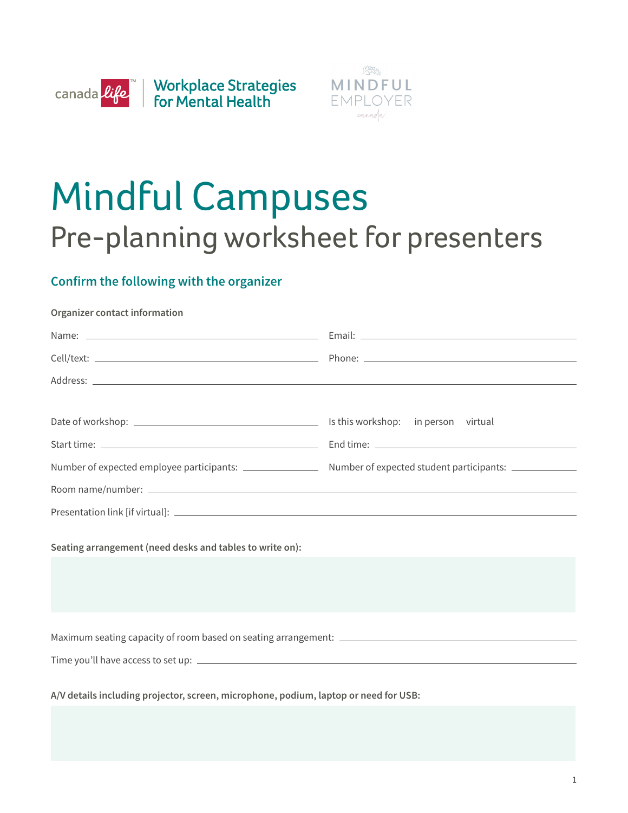



## Mindful Campuses Pre-planning worksheet for presenters

## **Confirm the following with the organizer**

## **Organizer contact information**

| Seating arrangement (need desks and tables to write on):                             |  |
|--------------------------------------------------------------------------------------|--|
|                                                                                      |  |
|                                                                                      |  |
| A/V details including projector, screen, microphone, podium, laptop or need for USB: |  |